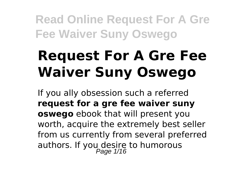# **Request For A Gre Fee Waiver Suny Oswego**

If you ally obsession such a referred **request for a gre fee waiver suny oswego** ebook that will present you worth, acquire the extremely best seller from us currently from several preferred authors. If you desire to humorous<br>Page 1/16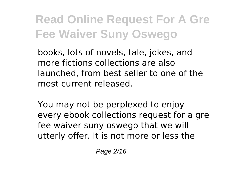books, lots of novels, tale, jokes, and more fictions collections are also launched, from best seller to one of the most current released.

You may not be perplexed to enjoy every ebook collections request for a gre fee waiver suny oswego that we will utterly offer. It is not more or less the

Page 2/16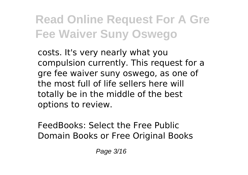costs. It's very nearly what you compulsion currently. This request for a gre fee waiver suny oswego, as one of the most full of life sellers here will totally be in the middle of the best options to review.

FeedBooks: Select the Free Public Domain Books or Free Original Books

Page 3/16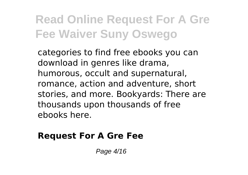categories to find free ebooks you can download in genres like drama, humorous, occult and supernatural, romance, action and adventure, short stories, and more. Bookyards: There are thousands upon thousands of free ebooks here.

#### **Request For A Gre Fee**

Page 4/16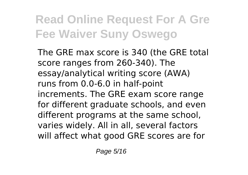The GRE max score is 340 (the GRE total score ranges from 260-340). The essay/analytical writing score (AWA) runs from 0.0-6.0 in half-point increments. The GRE exam score range for different graduate schools, and even different programs at the same school, varies widely. All in all, several factors will affect what good GRE scores are for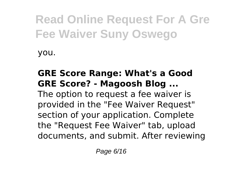you.

#### **GRE Score Range: What's a Good GRE Score? - Magoosh Blog ...**

The option to request a fee waiver is provided in the "Fee Waiver Request" section of your application. Complete the "Request Fee Waiver" tab, upload documents, and submit. After reviewing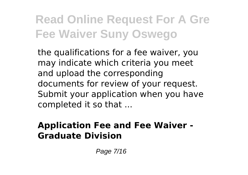the qualifications for a fee waiver, you may indicate which criteria you meet and upload the corresponding documents for review of your request. Submit your application when you have completed it so that ...

#### **Application Fee and Fee Waiver - Graduate Division**

Page 7/16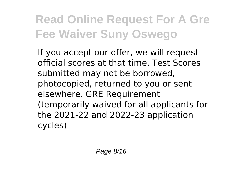If you accept our offer, we will request official scores at that time. Test Scores submitted may not be borrowed, photocopied, returned to you or sent elsewhere. GRE Requirement (temporarily waived for all applicants for the 2021-22 and 2022-23 application cycles)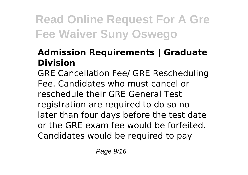#### **Admission Requirements | Graduate Division**

GRE Cancellation Fee/ GRE Rescheduling Fee. Candidates who must cancel or reschedule their GRE General Test registration are required to do so no later than four days before the test date or the GRE exam fee would be forfeited. Candidates would be required to pay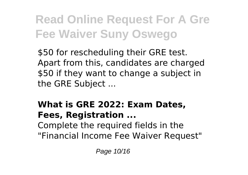\$50 for rescheduling their GRE test. Apart from this, candidates are charged \$50 if they want to change a subject in the GRE Subject ...

#### **What is GRE 2022: Exam Dates, Fees, Registration ...** Complete the required fields in the "Financial Income Fee Waiver Request"

Page 10/16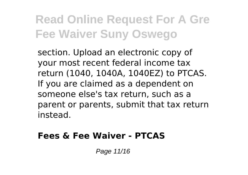section. Upload an electronic copy of your most recent federal income tax return (1040, 1040A, 1040EZ) to PTCAS. If you are claimed as a dependent on someone else's tax return, such as a parent or parents, submit that tax return instead.

#### **Fees & Fee Waiver - PTCAS**

Page 11/16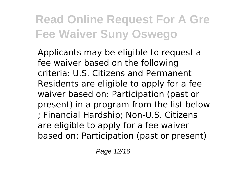Applicants may be eligible to request a fee waiver based on the following criteria: U.S. Citizens and Permanent Residents are eligible to apply for a fee waiver based on: Participation (past or present) in a program from the list below ; Financial Hardship; Non-U.S. Citizens are eligible to apply for a fee waiver based on: Participation (past or present)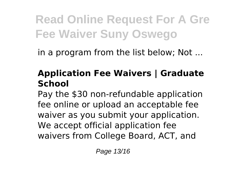in a program from the list below; Not ...

#### **Application Fee Waivers | Graduate School**

Pay the \$30 non-refundable application fee online or upload an acceptable fee waiver as you submit your application. We accept official application fee waivers from College Board, ACT, and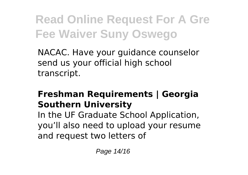NACAC. Have your guidance counselor send us your official high school transcript.

#### **Freshman Requirements | Georgia Southern University**

In the UF Graduate School Application, you'll also need to upload your resume and request two letters of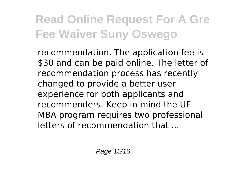recommendation. The application fee is \$30 and can be paid online. The letter of recommendation process has recently changed to provide a better user experience for both applicants and recommenders. Keep in mind the UF MBA program requires two professional letters of recommendation that ...